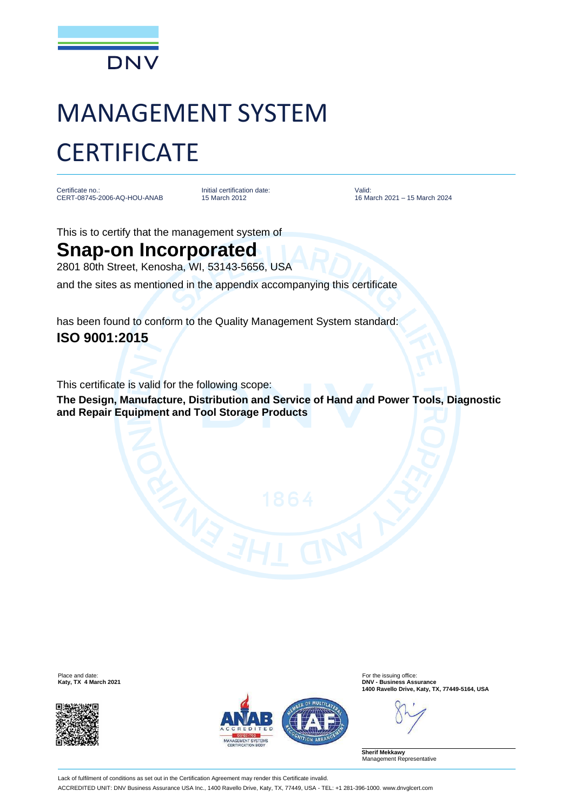

# MANAGEMENT SYSTEM **CERTIFICATE**

Certificate no.: CERT-08745-2006-AQ-HOU-ANAB Initial certification date: 15 March 2012

Valid: 16 March 2021 – 15 March 2024

This is to certify that the management system of

### **Snap-on Incorporated**

2801 80th Street, Kenosha, WI, 53143-5656, USA

and the sites as mentioned in the appendix accompanying this certificate

has been found to conform to the Quality Management System standard: **ISO 9001:2015**

This certificate is valid for the following scope:

**The Design, Manufacture, Distribution and Service of Hand and Power Tools, Diagnostic and Repair Equipment and Tool Storage Products**





Place and date: For the issuing office:<br> **Example 2021**<br> **Example 2021**<br> **Example 2021 Katy, TX 4 March 2021 DNV - Business Assurance 1400 Ravello Drive, Katy, TX, 77449-5164, USA**

**Sherif Mekkawy** Management Representative

Lack of fulfilment of conditions as set out in the Certification Agreement may render this Certificate invalid. ACCREDITED UNIT: DNV Business Assurance USA Inc., 1400 Ravello Drive, Katy, TX, 77449, USA - TEL: +1 281-396-1000. www.dnvglcert.com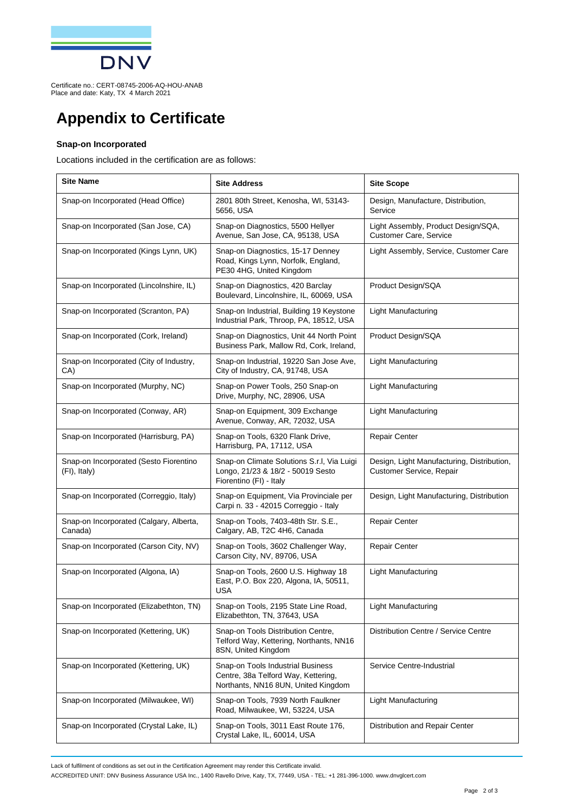

Certificate no.: CERT-08745-2006-AQ-HOU-ANAB Place and date: Katy, TX 4 March 2021

## **Appendix to Certificate**

#### **Snap-on Incorporated**

Locations included in the certification are as follows:

| <b>Site Name</b>                                       | <b>Site Address</b>                                                                                             | <b>Site Scope</b>                                                      |
|--------------------------------------------------------|-----------------------------------------------------------------------------------------------------------------|------------------------------------------------------------------------|
| Snap-on Incorporated (Head Office)                     | 2801 80th Street, Kenosha, WI, 53143-<br>5656, USA                                                              | Design, Manufacture, Distribution,<br>Service                          |
| Snap-on Incorporated (San Jose, CA)                    | Snap-on Diagnostics, 5500 Hellyer<br>Avenue, San Jose, CA, 95138, USA                                           | Light Assembly, Product Design/SQA,<br><b>Customer Care, Service</b>   |
| Snap-on Incorporated (Kings Lynn, UK)                  | Snap-on Diagnostics, 15-17 Denney<br>Road, Kings Lynn, Norfolk, England,<br>PE30 4HG, United Kingdom            | Light Assembly, Service, Customer Care                                 |
| Snap-on Incorporated (Lincolnshire, IL)                | Snap-on Diagnostics, 420 Barclay<br>Boulevard, Lincolnshire, IL, 60069, USA                                     | Product Design/SQA                                                     |
| Snap-on Incorporated (Scranton, PA)                    | Snap-on Industrial, Building 19 Keystone<br>Industrial Park, Throop, PA, 18512, USA                             | <b>Light Manufacturing</b>                                             |
| Snap-on Incorporated (Cork, Ireland)                   | Snap-on Diagnostics, Unit 44 North Point<br>Business Park, Mallow Rd, Cork, Ireland,                            | Product Design/SQA                                                     |
| Snap-on Incorporated (City of Industry,<br>CA)         | Snap-on Industrial, 19220 San Jose Ave,<br>City of Industry, CA, 91748, USA                                     | Light Manufacturing                                                    |
| Snap-on Incorporated (Murphy, NC)                      | Snap-on Power Tools, 250 Snap-on<br>Drive, Murphy, NC, 28906, USA                                               | <b>Light Manufacturing</b>                                             |
| Snap-on Incorporated (Conway, AR)                      | Snap-on Equipment, 309 Exchange<br>Avenue, Conway, AR, 72032, USA                                               | Light Manufacturing                                                    |
| Snap-on Incorporated (Harrisburg, PA)                  | Snap-on Tools, 6320 Flank Drive,<br>Harrisburg, PA, 17112, USA                                                  | <b>Repair Center</b>                                                   |
| Snap-on Incorporated (Sesto Fiorentino<br>(FI), Italy) | Snap-on Climate Solutions S.r.I, Via Luigi<br>Longo, 21/23 & 18/2 - 50019 Sesto<br>Fiorentino (FI) - Italy      | Design, Light Manufacturing, Distribution,<br>Customer Service, Repair |
| Snap-on Incorporated (Correggio, Italy)                | Snap-on Equipment, Via Provinciale per<br>Carpi n. 33 - 42015 Correggio - Italy                                 | Design, Light Manufacturing, Distribution                              |
| Snap-on Incorporated (Calgary, Alberta,<br>Canada)     | Snap-on Tools, 7403-48th Str. S.E.,<br>Calgary, AB, T2C 4H6, Canada                                             | <b>Repair Center</b>                                                   |
| Snap-on Incorporated (Carson City, NV)                 | Snap-on Tools, 3602 Challenger Way,<br>Carson City, NV, 89706, USA                                              | <b>Repair Center</b>                                                   |
| Snap-on Incorporated (Algona, IA)                      | Snap-on Tools, 2600 U.S. Highway 18<br>East, P.O. Box 220, Algona, IA, 50511,<br><b>USA</b>                     | Light Manufacturing                                                    |
| Snap-on Incorporated (Elizabethton, TN)                | Snap-on Tools, 2195 State Line Road,<br>Elizabethton, TN, 37643, USA                                            | <b>Light Manufacturing</b>                                             |
| Snap-on Incorporated (Kettering, UK)                   | Snap-on Tools Distribution Centre,<br>Telford Way, Kettering, Northants, NN16<br>8SN, United Kingdom            | Distribution Centre / Service Centre                                   |
| Snap-on Incorporated (Kettering, UK)                   | Snap-on Tools Industrial Business<br>Centre, 38a Telford Way, Kettering,<br>Northants, NN16 8UN, United Kingdom | Service Centre-Industrial                                              |
| Snap-on Incorporated (Milwaukee, WI)                   | Snap-on Tools, 7939 North Faulkner<br>Road, Milwaukee, WI, 53224, USA                                           | Light Manufacturing                                                    |
| Snap-on Incorporated (Crystal Lake, IL)                | Snap-on Tools, 3011 East Route 176,<br>Crystal Lake, IL, 60014, USA                                             | Distribution and Repair Center                                         |

Lack of fulfilment of conditions as set out in the Certification Agreement may render this Certificate invalid.

ACCREDITED UNIT: DNV Business Assurance USA Inc., 1400 Ravello Drive, Katy, TX, 77449, USA - TEL: +1 281-396-1000. www.dnvglcert.com